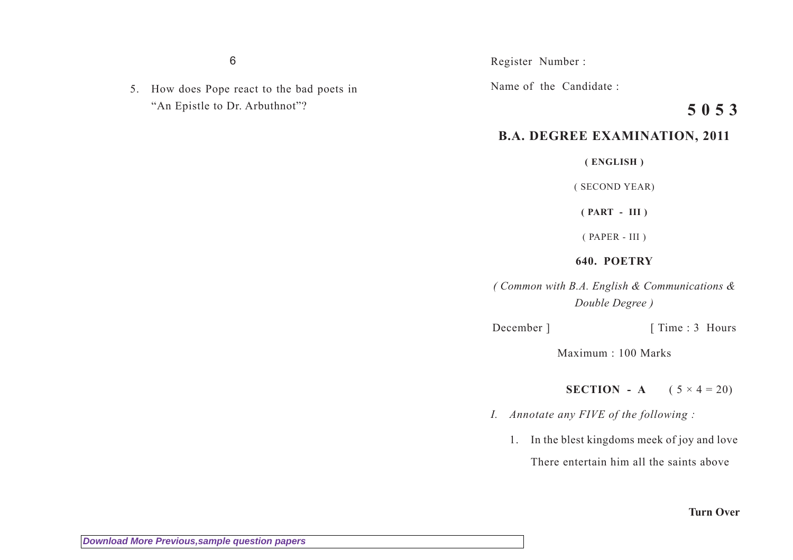6

5. How does Pope react to the bad poets in "An Epistle to Dr. Arbuthnot"?

Register Number :

Name of the Candidate :

## **5 0 5 3**

## **B.A. DEGREE EXAMINATION, 2011**

**( ENGLISH )**

( SECOND YEAR)

**( PART - III )**

( PAPER - III )

## **640. POETRY**

*( Common with B.A. English & Communications & Double Degree )*

December ] [ Time : 3 Hours

Maximum : 100 Marks

**SECTION** - **A**  $(5 \times 4 = 20)$ 

- *I. Annotate any FIVE of the following :*
	- 1. In the blest kingdoms meek of joy and love There entertain him all the saints above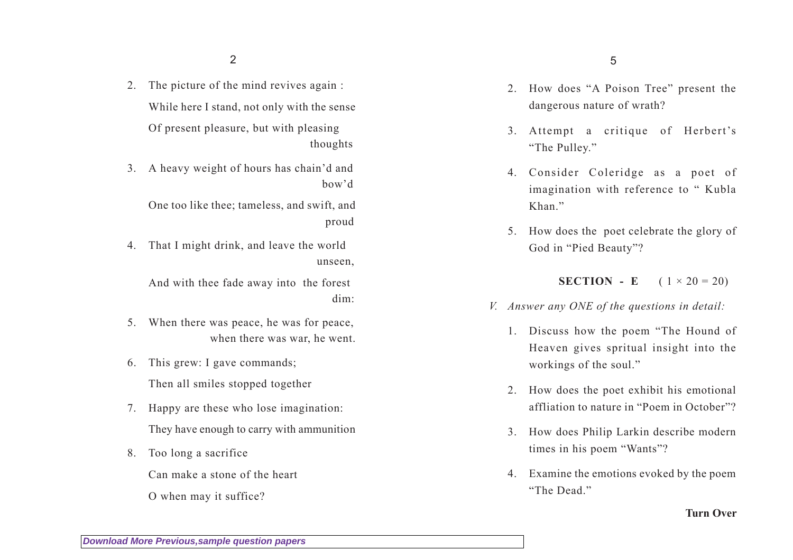2

- 2. The picture of the mind revives again : While here I stand, not only with the sense Of present pleasure, but with pleasing thoughts
- 3. A heavy weight of hours has chain'd and bow'd

One too like thee; tameless, and swift, and proud

4. That I might drink, and leave the world unseen,

And with thee fade away into the forest dim:

- 5. When there was peace, he was for peace, when there was war, he went.
- 6. This grew: I gave commands; Then all smiles stopped together
- 7. Happy are these who lose imagination: They have enough to carry with ammunition
- 8. Too long a sacrifice

Can make a stone of the heart

O when may it suffice?

- 2. How does "A Poison Tree" present the dangerous nature of wrath?
- 3. Attempt a critique of Herbert's "The Pulley."
- 4. Consider Coleridge as a poet of imagination with reference to " Kubla Khan<sup>"</sup>
- 5. How does the poet celebrate the glory of God in "Pied Beauty"?

**SECTION** - **E**  $(1 \times 20 = 20)$ 

- *V. Answer any ONE of the questions in detail:*
	- 1. Discuss how the poem "The Hound of Heaven gives spritual insight into the workings of the soul."
	- 2. How does the poet exhibit his emotional affliation to nature in "Poem in October"?
	- 3. How does Philip Larkin describe modern times in his poem "Wants"?
	- 4. Examine the emotions evoked by the poem "The Dead."

**Turn Over**

**[Download More Previous,sample question papers](http://downloadmela.com/pages/previouspapers/previouspapers.html)**